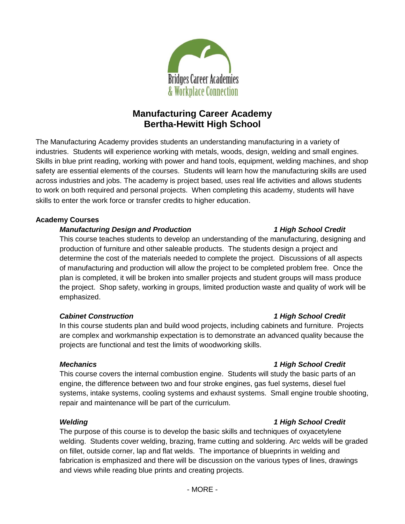

# **Manufacturing Career Academy Bertha-Hewitt High School**

The Manufacturing Academy provides students an understanding manufacturing in a variety of industries. Students will experience working with metals, woods, design, welding and small engines. Skills in blue print reading, working with power and hand tools, equipment, welding machines, and shop safety are essential elements of the courses. Students will learn how the manufacturing skills are used across industries and jobs. The academy is project based, uses real life activities and allows students to work on both required and personal projects. When completing this academy, students will have skills to enter the work force or transfer credits to higher education.

# **Academy Courses**

# *Manufacturing Design and Production 1 High School Credit*

This course teaches students to develop an understanding of the manufacturing, designing and production of furniture and other saleable products. The students design a project and determine the cost of the materials needed to complete the project. Discussions of all aspects of manufacturing and production will allow the project to be completed problem free. Once the plan is completed, it will be broken into smaller projects and student groups will mass produce the project. Shop safety, working in groups, limited production waste and quality of work will be emphasized.

# *Cabinet Construction 1 High School Credit*

In this course students plan and build wood projects, including cabinets and furniture. Projects are complex and workmanship expectation is to demonstrate an advanced quality because the projects are functional and test the limits of woodworking skills.

# *Mechanics 1 High School Credit*

This course covers the internal combustion engine. Students will study the basic parts of an engine, the difference between two and four stroke engines, gas fuel systems, diesel fuel systems, intake systems, cooling systems and exhaust systems. Small engine trouble shooting, repair and maintenance will be part of the curriculum.

# *Welding 1 High School Credit*

The purpose of this course is to develop the basic skills and techniques of oxyacetylene welding. Students cover welding, brazing, frame cutting and soldering. Arc welds will be graded on fillet, outside corner, lap and flat welds. The importance of blueprints in welding and fabrication is emphasized and there will be discussion on the various types of lines, drawings and views while reading blue prints and creating projects.

# - MORE -